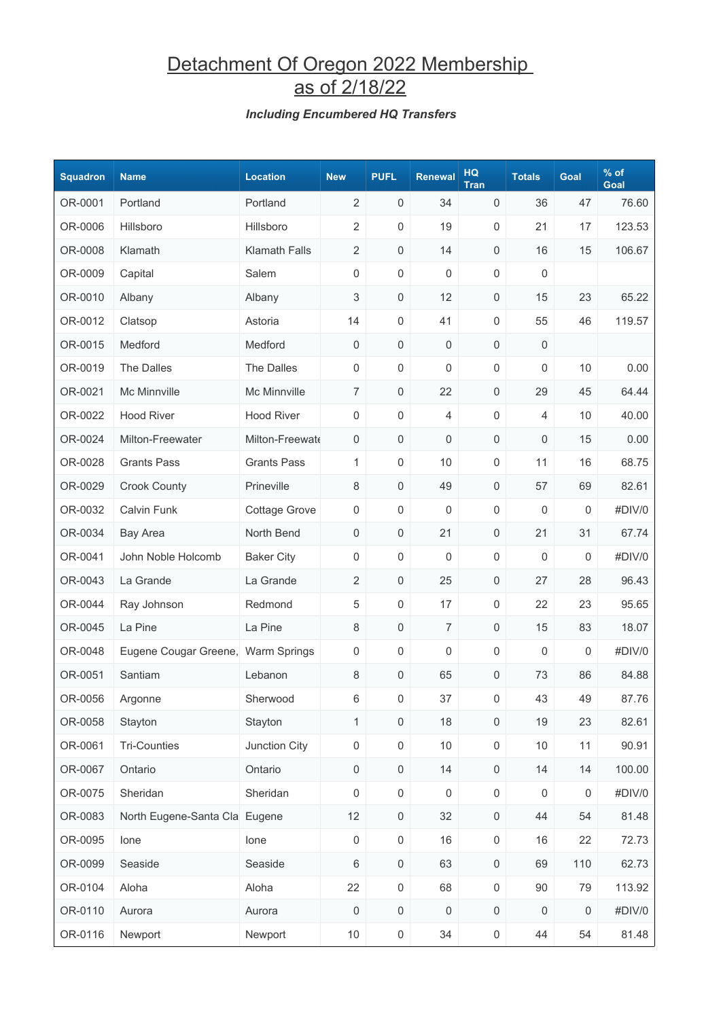## Detachment Of Oregon 2022 Membership as of 2/18/22

#### *Including Encumbered HQ Transfers*

| <b>Squadron</b> | <b>Name</b>                        | <b>Location</b>      | <b>New</b>          | <b>PUFL</b>         | <b>Renewal</b>      | HQ<br><b>Tran</b>   | <b>Totals</b> | Goal             | $%$ of<br>Goal |
|-----------------|------------------------------------|----------------------|---------------------|---------------------|---------------------|---------------------|---------------|------------------|----------------|
| OR-0001         | Portland                           | Portland             | $\overline{2}$      | $\mathsf{O}\xspace$ | 34                  | 0                   | 36            | 47               | 76.60          |
| OR-0006         | Hillsboro                          | Hillsboro            | $\overline{2}$      | 0                   | 19                  | 0                   | 21            | 17               | 123.53         |
| OR-0008         | Klamath                            | <b>Klamath Falls</b> | $\overline{2}$      | 0                   | 14                  | 0                   | 16            | 15               | 106.67         |
| OR-0009         | Capital                            | Salem                | 0                   | 0                   | $\mathsf 0$         | 0                   | 0             |                  |                |
| OR-0010         | Albany                             | Albany               | 3                   | $\mathsf{O}\xspace$ | 12                  | 0                   | 15            | 23               | 65.22          |
| OR-0012         | Clatsop                            | Astoria              | 14                  | 0                   | 41                  | 0                   | 55            | 46               | 119.57         |
| OR-0015         | Medford                            | Medford              | 0                   | $\mathsf{O}\xspace$ | 0                   | 0                   | 0             |                  |                |
| OR-0019         | The Dalles                         | The Dalles           | 0                   | 0                   | $\mathsf 0$         | 0                   | 0             | 10               | 0.00           |
| OR-0021         | Mc Minnville                       | Mc Minnville         | $\overline{7}$      | $\mathsf{O}\xspace$ | 22                  | $\mathsf{O}\xspace$ | 29            | 45               | 64.44          |
| OR-0022         | <b>Hood River</b>                  | <b>Hood River</b>    | $\boldsymbol{0}$    | 0                   | 4                   | 0                   | 4             | 10               | 40.00          |
| OR-0024         | Milton-Freewater                   | Milton-Freewate      | 0                   | $\mathsf{O}\xspace$ | $\mathsf{O}\xspace$ | $\mathsf{O}\xspace$ | 0             | 15               | 0.00           |
| OR-0028         | <b>Grants Pass</b>                 | <b>Grants Pass</b>   | 1                   | $\mathsf{O}\xspace$ | 10                  | 0                   | 11            | 16               | 68.75          |
| OR-0029         | <b>Crook County</b>                | Prineville           | 8                   | $\mathsf{O}\xspace$ | 49                  | 0                   | 57            | 69               | 82.61          |
| OR-0032         | <b>Calvin Funk</b>                 | <b>Cottage Grove</b> | 0                   | 0                   | 0                   | 0                   | 0             | 0                | #DIV/0         |
| OR-0034         | <b>Bay Area</b>                    | North Bend           | 0                   | 0                   | 21                  | 0                   | 21            | 31               | 67.74          |
| OR-0041         | John Noble Holcomb                 | <b>Baker City</b>    | 0                   | 0                   | $\mathsf{O}\xspace$ | 0                   | 0             | $\mathbf 0$      | #DIV/0         |
| OR-0043         | La Grande                          | La Grande            | $\overline{2}$      | $\mathsf{O}\xspace$ | 25                  | $\mathsf{O}\xspace$ | 27            | 28               | 96.43          |
| OR-0044         | Ray Johnson                        | Redmond              | 5                   | 0                   | 17                  | 0                   | 22            | 23               | 95.65          |
| OR-0045         | La Pine                            | La Pine              | $\,8\,$             | $\mathsf{O}\xspace$ | 7                   | 0                   | 15            | 83               | 18.07          |
| OR-0048         | Eugene Cougar Greene, Warm Springs |                      | 0                   | 0                   | 0                   | 0                   | 0             | $\boldsymbol{0}$ | #DIV/0         |
| OR-0051         | Santiam                            | Lebanon              | 8                   | 0                   | 65                  | 0                   | 73            | 86               | 84.88          |
| OR-0056         | Argonne                            | Sherwood             | 6                   | 0                   | 37                  | 0                   | 43            | 49               | 87.76          |
| OR-0058         | Stayton                            | Stayton              | $\mathbf{1}$        | $\mathsf{O}\xspace$ | $18$                | $\mathsf{O}\xspace$ | 19            | 23               | 82.61          |
| OR-0061         | <b>Tri-Counties</b>                | Junction City        | $\mathsf{O}\xspace$ | $\mathsf{O}\xspace$ | $10$                | $\mathsf 0$         | $10$          | 11               | 90.91          |
| OR-0067         | Ontario                            | Ontario              | $\mathsf 0$         | $\mathsf{O}\xspace$ | 14                  | $\mathsf{O}\xspace$ | 14            | 14               | 100.00         |
| OR-0075         | Sheridan                           | Sheridan             | $\boldsymbol{0}$    | $\mathsf{O}\xspace$ | $\mathsf 0$         | $\mathsf 0$         | 0             | $\boldsymbol{0}$ | #DIV/0         |
| OR-0083         | North Eugene-Santa Cla Eugene      |                      | 12                  | $\mathsf{O}\xspace$ | 32                  | $\mathsf{O}\xspace$ | 44            | 54               | 81.48          |
| OR-0095         | lone                               | lone                 | $\mathsf{O}\xspace$ | $\mathsf{O}\xspace$ | 16                  | $\mathsf 0$         | 16            | 22               | 72.73          |
| OR-0099         | Seaside                            | Seaside              | 6                   | $\mathsf{O}\xspace$ | 63                  | $\mathsf{O}\xspace$ | 69            | 110              | 62.73          |
| OR-0104         | Aloha                              | Aloha                | 22                  | $\mathsf{O}\xspace$ | 68                  | $\mathsf 0$         | 90            | 79               | 113.92         |
| OR-0110         | Aurora                             | Aurora               | $\,0\,$             | $\mathsf{O}\xspace$ | $\mathsf{O}\xspace$ | $\mathsf{O}\xspace$ | 0             | $\mathbf 0$      | #DIV/0         |
| OR-0116         | Newport                            | Newport              | 10 <sup>°</sup>     | $\boldsymbol{0}$    | 34                  | $\mathsf{O}\xspace$ | 44            | 54               | 81.48          |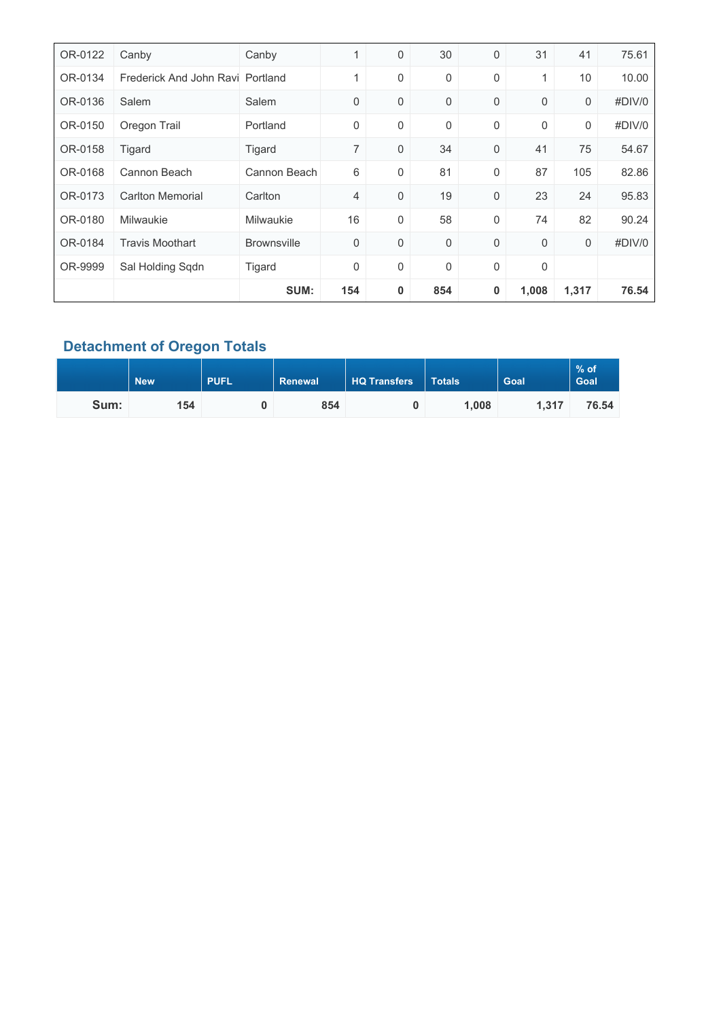| OR-0122 | Canby                            | Canby              | 1   | 0 | 30          | 0 | 31          | 41               | 75.61  |
|---------|----------------------------------|--------------------|-----|---|-------------|---|-------------|------------------|--------|
| OR-0134 | Frederick And John Ravi Portland |                    | 1   | 0 | 0           | 0 | 1           | 10               | 10.00  |
| OR-0136 | Salem                            | Salem              | 0   | 0 | $\mathbf 0$ | 0 | $\mathbf 0$ | 0                | #DIV/0 |
| OR-0150 | Oregon Trail                     | Portland           | 0   | 0 | 0           | 0 | $\mathbf 0$ | $\boldsymbol{0}$ | #DIV/0 |
| OR-0158 | Tigard                           | Tigard             | 7   | 0 | 34          | 0 | 41          | 75               | 54.67  |
| OR-0168 | Cannon Beach                     | Cannon Beach       | 6   | 0 | 81          | 0 | 87          | 105              | 82.86  |
| OR-0173 | <b>Carlton Memorial</b>          | Carlton            | 4   | 0 | 19          | 0 | 23          | 24               | 95.83  |
| OR-0180 | Milwaukie                        | <b>Milwaukie</b>   | 16  | 0 | 58          | 0 | 74          | 82               | 90.24  |
| OR-0184 | <b>Travis Moothart</b>           | <b>Brownsville</b> | 0   | 0 | $\mathbf 0$ | 0 | $\mathbf 0$ | $\mathbf 0$      | #DIV/0 |
| OR-9999 | Sal Holding Sqdn                 | Tigard             | 0   | 0 | 0           | 0 | 0           |                  |        |
|         |                                  | SUM:               | 154 | 0 | 854         | 0 | 1,008       | 1,317            | 76.54  |

### **Detachment of Oregon Totals**

|      | <b>New</b> | <b>PUFL</b> | Renewal | HQ Transfers | <b>Totals</b> | Goal  | $%$ of<br><b>Goal</b> |
|------|------------|-------------|---------|--------------|---------------|-------|-----------------------|
| Sum: | 154        |             | 854     |              | 1,008         | 1.317 | 76.54                 |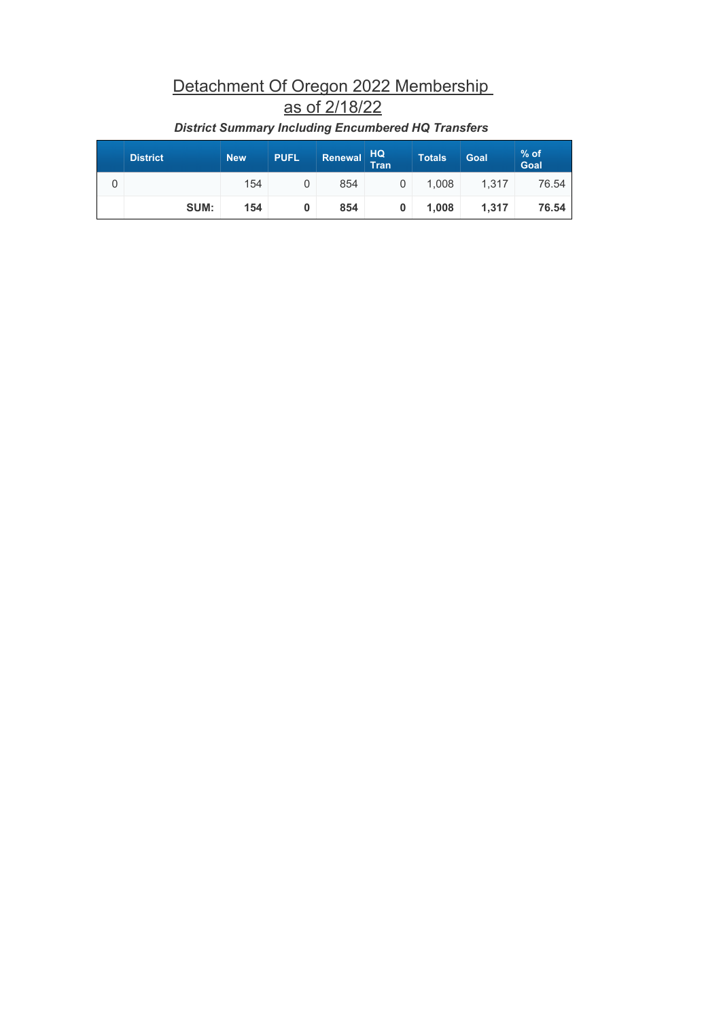# Detachment Of Oregon 2022 Membership as of 2/18/22

| <b>District</b> | <b>New</b> | <b>PUFL</b> | Renewal | <b>HQ</b><br>Tran | <b>Totals</b> | Goal  | $%$ of<br>Goal |
|-----------------|------------|-------------|---------|-------------------|---------------|-------|----------------|
|                 | 154        |             | 854     |                   | 1.008         | 1.317 | 76.54          |
| SUM:            | 154        |             | 854     | 0                 | 1.008         | 1.317 | 76.54          |

### *District Summary Including Encumbered HQ Transfers*